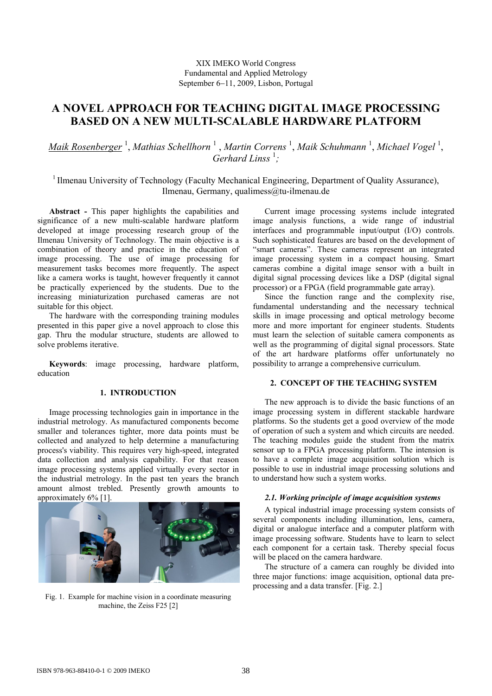## XIX IMEKO World Congress Fundamental and Applied Metrology September 6−11, 2009, Lisbon, Portugal

# **A NOVEL APPROACH FOR TEACHING DIGITAL IMAGE PROCESSING BASED ON A NEW MULTI-SCALABLE HARDWARE PLATFORM**

*Maik Rosenberger* <sup>1</sup> , *Mathias Schellhorn* <sup>1</sup> , *Martin Correns* <sup>1</sup> , *Maik Schuhmann* <sup>1</sup> , *Michael Vogel* <sup>1</sup> , Gerhard Linss<sup>1</sup>;

<sup>1</sup> Ilmenau University of Technology (Faculty Mechanical Engineering, Department of Quality Assurance), Ilmenau, Germany, qualimess@tu-ilmenau.de

**Abstract -** This paper highlights the capabilities and significance of a new multi-scalable hardware platform developed at image processing research group of the Ilmenau University of Technology. The main objective is a combination of theory and practice in the education of image processing. The use of image processing for measurement tasks becomes more frequently. The aspect like a camera works is taught, however frequently it cannot be practically experienced by the students. Due to the increasing miniaturization purchased cameras are not suitable for this object.

The hardware with the corresponding training modules presented in this paper give a novel approach to close this gap. Thru the modular structure, students are allowed to solve problems iterative.

**Keywords**: image processing, hardware platform, education

### **1. INTRODUCTION**

Image processing technologies gain in importance in the industrial metrology. As manufactured components become smaller and tolerances tighter, more data points must be collected and analyzed to help determine a manufacturing process's viability. This requires very high-speed, integrated data collection and analysis capability. For that reason image processing systems applied virtually every sector in the industrial metrology. In the past ten years the branch amount almost trebled. Presently growth amounts to approximately 6% [1].



Fig. 1. Example for machine vision in a coordinate measuring machine, the Zeiss F25 [2]

Current image processing systems include integrated image analysis functions, a wide range of industrial interfaces and programmable input/output (I/O) controls. Such sophisticated features are based on the development of "smart cameras". These cameras represent an integrated image processing system in a compact housing. Smart cameras combine a digital image sensor with a built in digital signal processing devices like a DSP (digital signal processor) or a FPGA (field programmable gate array).

Since the function range and the complexity rise, fundamental understanding and the necessary technical skills in image processing and optical metrology become more and more important for engineer students. Students must learn the selection of suitable camera components as well as the programming of digital signal processors. State of the art hardware platforms offer unfortunately no possibility to arrange a comprehensive curriculum.

### **2. CONCEPT OF THE TEACHING SYSTEM**

The new approach is to divide the basic functions of an image processing system in different stackable hardware platforms. So the students get a good overview of the mode of operation of such a system and which circuits are needed. The teaching modules guide the student from the matrix sensor up to a FPGA processing platform. The intension is to have a complete image acquisition solution which is possible to use in industrial image processing solutions and to understand how such a system works.

#### *2.1. Working principle of image acquisition systems*

A typical industrial image processing system consists of several components including illumination, lens, camera, digital or analogue interface and a computer platform with image processing software. Students have to learn to select each component for a certain task. Thereby special focus will be placed on the camera hardware.

The structure of a camera can roughly be divided into three major functions: image acquisition, optional data preprocessing and a data transfer. [Fig. 2.]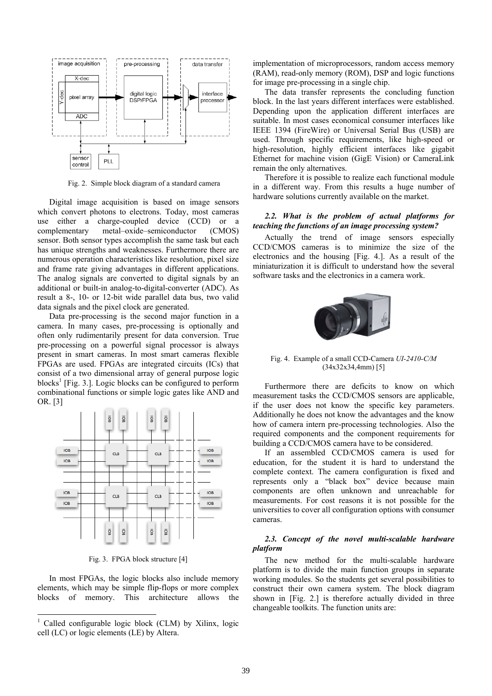

Fig. 2. Simple block diagram of a standard camera

Digital image acquisition is based on image sensors which convert photons to electrons. Today, most cameras use either a charge-coupled device (CCD) or a complementary metal–oxide–semiconductor (CMOS) sensor. Both sensor types accomplish the same task but each has unique strengths and weaknesses. Furthermore there are numerous operation characteristics like resolution, pixel size and frame rate giving advantages in different applications. The analog signals are converted to digital signals by an additional or built-in analog-to-digital-converter (ADC). As result a 8-, 10- or 12-bit wide parallel data bus, two valid data signals and the pixel clock are generated.

Data pre-processing is the second major function in a camera. In many cases, pre-processing is optionally and often only rudimentarily present for data conversion. True pre-processing on a powerful signal processor is always present in smart cameras. In most smart cameras flexible FPGAs are used. FPGAs are integrated circuits (ICs) that consist of a two dimensional array of general purpose logic blocks<sup>1</sup> [Fig. 3.]. Logic blocks can be configured to perform combinational functions or simple logic gates like AND and OR. [3]



Fig. 3. FPGA block structure [4]

In most FPGAs, the logic blocks also include memory elements, which may be simple flip-flops or more complex blocks of memory. This architecture allows the

-

implementation of microprocessors, random access memory (RAM), read-only memory (ROM), DSP and logic functions for image pre-processing in a single chip.

The data transfer represents the concluding function block. In the last years different interfaces were established. Depending upon the application different interfaces are suitable. In most cases economical consumer interfaces like IEEE 1394 (FireWire) or Universal Serial Bus (USB) are used. Through specific requirements, like high-speed or high-resolution, highly efficient interfaces like gigabit Ethernet for machine vision (GigE Vision) or CameraLink remain the only alternatives.

Therefore it is possible to realize each functional module in a different way. From this results a huge number of hardware solutions currently available on the market.

#### *2.2. What is the problem of actual platforms for teaching the functions of an image processing system?*

Actually the trend of image sensors especially CCD/CMOS cameras is to minimize the size of the electronics and the housing [Fig. 4.]. As a result of the miniaturization it is difficult to understand how the several software tasks and the electronics in a camera work.



Fig. 4. Example of a small CCD-Camera *UI-2410-C/M* (34x32x34,4mm) [5]

Furthermore there are deficits to know on which measurement tasks the CCD/CMOS sensors are applicable, if the user does not know the specific key parameters. Additionally he does not know the advantages and the know how of camera intern pre-processing technologies. Also the required components and the component requirements for building a CCD/CMOS camera have to be considered.

If an assembled CCD/CMOS camera is used for education, for the student it is hard to understand the complete context. The camera configuration is fixed and represents only a "black box" device because main components are often unknown and unreachable for measurements. For cost reasons it is not possible for the universities to cover all configuration options with consumer cameras.

## *2.3. Concept of the novel multi-scalable hardware platform*

The new method for the multi-scalable hardware platform is to divide the main function groups in separate working modules. So the students get several possibilities to construct their own camera system. The block diagram shown in [Fig. 2.] is therefore actually divided in three changeable toolkits. The function units are:

<sup>&</sup>lt;sup>1</sup> Called configurable logic block (CLM) by Xilinx, logic cell (LC) or logic elements (LE) by Altera.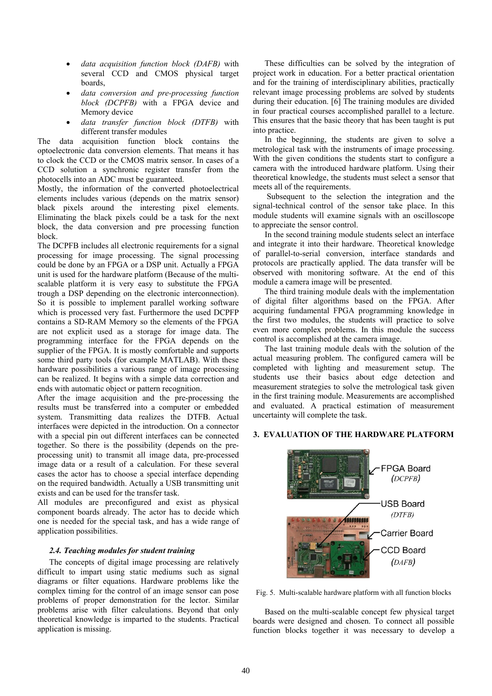- *data acquisition function block (DAFB)* with several CCD and CMOS physical target boards,
- *data conversion and pre-processing function block (DCPFB)* with a FPGA device and Memory device
- *data transfer function block (DTFB)* with different transfer modules

The data acquisition function block contains the optoelectronic data conversion elements. That means it has to clock the CCD or the CMOS matrix sensor. In cases of a CCD solution a synchronic register transfer from the photocells into an ADC must be guaranteed.

Mostly, the information of the converted photoelectrical elements includes various (depends on the matrix sensor) black pixels around the interesting pixel elements. Eliminating the black pixels could be a task for the next block, the data conversion and pre processing function block.

The DCPFB includes all electronic requirements for a signal processing for image processing. The signal processing could be done by an FPGA or a DSP unit. Actually a FPGA unit is used for the hardware platform (Because of the multiscalable platform it is very easy to substitute the FPGA trough a DSP depending on the electronic interconnection). So it is possible to implement parallel working software which is processed very fast. Furthermore the used DCPFP contains a SD-RAM Memory so the elements of the FPGA are not explicit used as a storage for image data. The programming interface for the FPGA depends on the supplier of the FPGA. It is mostly comfortable and supports some third party tools (for example MATLAB). With these hardware possibilities a various range of image processing can be realized. It begins with a simple data correction and ends with automatic object or pattern recognition.

After the image acquisition and the pre-processing the results must be transferred into a computer or embedded system. Transmitting data realizes the DTFB. Actual interfaces were depicted in the introduction. On a connector with a special pin out different interfaces can be connected together. So there is the possibility (depends on the preprocessing unit) to transmit all image data, pre-processed image data or a result of a calculation. For these several cases the actor has to choose a special interface depending on the required bandwidth. Actually a USB transmitting unit exists and can be used for the transfer task.

All modules are preconfigured and exist as physical component boards already. The actor has to decide which one is needed for the special task, and has a wide range of application possibilities.

### *2.4. Teaching modules for student training*

The concepts of digital image processing are relatively difficult to impart using static mediums such as signal diagrams or filter equations. Hardware problems like the complex timing for the control of an image sensor can pose problems of proper demonstration for the lector. Similar problems arise with filter calculations. Beyond that only theoretical knowledge is imparted to the students. Practical application is missing.

These difficulties can be solved by the integration of project work in education. For a better practical orientation and for the training of interdisciplinary abilities, practically relevant image processing problems are solved by students during their education. [6] The training modules are divided in four practical courses accomplished parallel to a lecture. This ensures that the basic theory that has been taught is put into practice.

In the beginning, the students are given to solve a metrological task with the instruments of image processing. With the given conditions the students start to configure a camera with the introduced hardware platform. Using their theoretical knowledge, the students must select a sensor that meets all of the requirements.

 Subsequent to the selection the integration and the signal-technical control of the sensor take place. In this module students will examine signals with an oscilloscope to appreciate the sensor control.

In the second training module students select an interface and integrate it into their hardware. Theoretical knowledge of parallel-to-serial conversion, interface standards and protocols are practically applied. The data transfer will be observed with monitoring software. At the end of this module a camera image will be presented.

The third training module deals with the implementation of digital filter algorithms based on the FPGA. After acquiring fundamental FPGA programming knowledge in the first two modules, the students will practice to solve even more complex problems. In this module the success control is accomplished at the camera image.

The last training module deals with the solution of the actual measuring problem. The configured camera will be completed with lighting and measurement setup. The students use their basics about edge detection and measurement strategies to solve the metrological task given in the first training module. Measurements are accomplished and evaluated. A practical estimation of measurement uncertainty will complete the task.

# **3. EVALUATION OF THE HARDWARE PLATFORM**



Fig. 5. Multi-scalable hardware platform with all function blocks

Based on the multi-scalable concept few physical target boards were designed and chosen. To connect all possible function blocks together it was necessary to develop a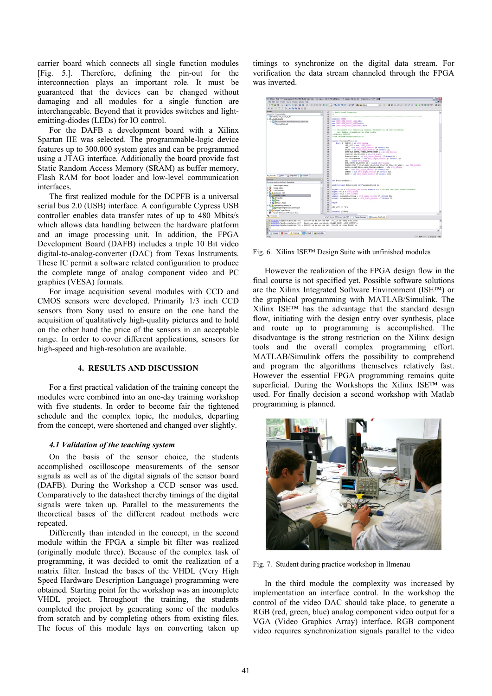carrier board which connects all single function modules [Fig. 5.]. Therefore, defining the pin-out for the interconnection plays an important role. It must be guaranteed that the devices can be changed without damaging and all modules for a single function are interchangeable. Beyond that it provides switches and lightemitting-diodes (LEDs) for IO control.

For the DAFB a development board with a Xilinx Spartan IIE was selected. The programmable-logic device features up to 300.000 system gates and can be programmed using a JTAG interface. Additionally the board provide fast Static Random Access Memory (SRAM) as buffer memory, Flash RAM for boot loader and low-level communication interfaces.

The first realized module for the DCPFB is a universal serial bus 2.0 (USB) interface. A configurable Cypress USB controller enables data transfer rates of up to 480 Mbits/s which allows data handling between the hardware platform and an image processing unit. In addition, the FPGA Development Board (DAFB) includes a triple 10 Bit video digital-to-analog-converter (DAC) from Texas Instruments. These IC permit a software related configuration to produce the complete range of analog component video and PC graphics (VESA) formats.

For image acquisition several modules with CCD and CMOS sensors were developed. Primarily 1/3 inch CCD sensors from Sony used to ensure on the one hand the acquisition of qualitatively high-quality pictures and to hold on the other hand the price of the sensors in an acceptable range. In order to cover different applications, sensors for high-speed and high-resolution are available.

### **4. RESULTS AND DISCUSSION**

For a first practical validation of the training concept the modules were combined into an one-day training workshop with five students. In order to become fair the tightened schedule and the complex topic, the modules, departing from the concept, were shortened and changed over slightly.

### *4.1 Validation of the teaching system*

On the basis of the sensor choice, the students accomplished oscilloscope measurements of the sensor signals as well as of the digital signals of the sensor board (DAFB). During the Workshop a CCD sensor was used. Comparatively to the datasheet thereby timings of the digital signals were taken up. Parallel to the measurements the theoretical bases of the different readout methods were repeated.

Differently than intended in the concept, in the second module within the FPGA a simple bit filter was realized (originally module three). Because of the complex task of programming, it was decided to omit the realization of a matrix filter. Instead the bases of the VHDL (Very High Speed Hardware Description Language) programming were obtained. Starting point for the workshop was an incomplete VHDL project. Throughout the training, the students completed the project by generating some of the modules from scratch and by completing others from existing files. The focus of this module lays on converting taken up

timings to synchronize on the digital data stream. For verification the data stream channeled through the FPGA was inverted.

|                                                                                                               |                 | 14 Xillax - ISE - D: Programme\COllax\ISE\ISE\Funktioin Test spa2e tb 02\Funktioin Test spa2e tb 02.ise - [Function Test1.vhd] | 二回文                              |
|---------------------------------------------------------------------------------------------------------------|-----------------|--------------------------------------------------------------------------------------------------------------------------------|----------------------------------|
| File Edit View Project Source Process Window Help                                                             |                 |                                                                                                                                |                                  |
| <b>DORN &amp; XOOX Q &amp; &amp; XXX &amp; &amp; X &amp; BOO AR A About</b>                                   |                 |                                                                                                                                |                                  |
| 003332433308                                                                                                  |                 |                                                                                                                                |                                  |
| Sources                                                                                                       |                 | 17 -- Additional Comments:                                                                                                     |                                  |
| Sources for Inglementation                                                                                    | ×               | 18<br>$\sim$                                                                                                                   |                                  |
| <sup>20</sup> Funktion, Test. spalls to 02                                                                    | 19 <sup>°</sup> |                                                                                                                                |                                  |
| ® □ xc2x600+66x156                                                                                            | 20              | library <b>HILE</b>                                                                                                            |                                  |
| El Cult Function Test1 - Behavioral Function, Test1 vhdt                                                      | 21              | use IEEE.070 LOGIC 1164.ALL:                                                                                                   |                                  |
| <b>Nest sof Best soft</b>                                                                                     | 22<br>22        | use HEER, STD LOGIC ARITH, ALL:<br>use IEEE, STD LOGIC UNSIGNED, ALL:                                                          |                                  |
|                                                                                                               | 24              |                                                                                                                                |                                  |
|                                                                                                               | 2.5             | ---- Uncomment the following library declaration if instantiating                                                              |                                  |
|                                                                                                               | 26              | ---- any Xilinx primitives in this code.                                                                                       |                                  |
|                                                                                                               | 27              | $--$ library UNISIN;                                                                                                           |                                  |
|                                                                                                               | 20<br>29        | --use UNISIN. VComponents.all;                                                                                                 |                                  |
|                                                                                                               | 10 <sub>o</sub> | eatity FuncrionTesti is                                                                                                        |                                  |
|                                                                                                               | 31              | Port ( CLKIN : in std logicz                                                                                                   |                                  |
|                                                                                                               | 32              | LED AVT : out STD LOGICS                                                                                                       |                                  |
|                                                                                                               | 3.5             | LED : out atd logic vector (5 downto 0);                                                                                       |                                  |
|                                                                                                               | 34              | INJEP : in std logic vector (9 downto 0);                                                                                      |                                  |
|                                                                                                               | 35              | OUTDCLK, OUTVD, OUTHD, OUTTRIGGER : out and logics                                                                             |                                  |
|                                                                                                               | 36<br>37        | DCLK, HD, VD, TRIGGER : in std logic)                                                                                          |                                  |
|                                                                                                               | 38              | Intensiteet : in std legic vector (7 dawate 0);<br>OUTIMERBITACT : out std logic vector (7 downto 0);                          |                                  |
|                                                                                                               | 39              | SOA : inout std logic;                                                                                                         |                                  |
|                                                                                                               | 40              | SCL.DEBTG L3.DEBTG U2 : inout std logie;                                                                                       |                                  |
|                                                                                                               | 41              | BLANK, STRC T VDAC, SYNC VDAC, CLK VDAC, VD VDAC, RD VDAC : out, STD LOSIC;                                                    |                                  |
|                                                                                                               | 42              | BLUED, BLUE1, REDO, RED1, GREEND, GREEN1 : out 57D LOGIC;                                                                      |                                  |
|                                                                                                               | 43              | RED : out atd logic vector (7 downto 0);                                                                                       |                                  |
|                                                                                                               | 44<br>45        | GREEN : out std logic vertor (7 downto 0);                                                                                     |                                  |
| Ing Sources<br>The eg Snipshots<br><b>IN Libraries</b>                                                        | 46              | BLUE : out std logic vector (7 dowato 0));                                                                                     |                                  |
| Processes                                                                                                     | 47              |                                                                                                                                |                                  |
| Processes for FunctionTest1 - Behavioral                                                                      | 48<br>۰<br>49   | end FuncyionTesti:                                                                                                             |                                  |
| View Design Summary<br>r                                                                                      | 50              | architecture Behavioral of FuncrionTest1 is                                                                                    |                                  |
| $+50$<br>Design Utilities                                                                                     | 51              |                                                                                                                                |                                  |
| 8-20 User Constraints                                                                                         | 52              | signal CTR : STD LOSIC VECTOR(25 downto 0); -- Offnen und init Counterelement                                                  |                                  |
| 8 23 f. Susthesize - XST                                                                                      | 52              | signal SCLi : STD LOGIC;                                                                                                       |                                  |
| B 22 r Implement Design                                                                                       | 54<br>SS        | signal SCL2 : STD LOGIC;                                                                                                       |                                  |
| E 23 E Translate                                                                                              | 56              | signal Intensitaettemp : std logic vector (7 dowato 0);<br>signal Intensitaettempi : std logic vector (7 downto 0) ;           |                                  |
| <b>WAGOCS</b>                                                                                                 | 57              |                                                                                                                                |                                  |
| * 23 F. Place L Route                                                                                         | 10              | <b>Degin</b>                                                                                                                   |                                  |
| B 23 P. Generate Programming File                                                                             | 59              |                                                                                                                                |                                  |
| <b>I) C</b> Programing File Generation Report                                                                 | co.             | LED AVT <= '1';                                                                                                                |                                  |
| * 23 Configure Target Device                                                                                  | 61              |                                                                                                                                |                                  |
| Update Eitsteam with Processor Data                                                                           | 62<br>×         | Process (CLKIN)                                                                                                                |                                  |
| <b><i>UC Processes</i></b>                                                                                    |                 | 32 Design Summary 1 N Function, Test1.vhd<br>What's New in ISE Decign Suite 10.1                                               |                                  |
| 1. VADNING: PhysDesignRules: 781 - PULLUP on an active net. PILLUP of comp SYNC VDAC                          |                 |                                                                                                                                | ×                                |
| 1. UASNING:PhysDesignRules:537 - Dangling pins on block: <blank.couf>:<iob_outbuf>.</iob_outbuf></blank.couf> |                 |                                                                                                                                |                                  |
| 1. VARNING: PhysDesignRules: 781 - PULLUP on an active net. PULLUP of comp BLANK is                           |                 |                                                                                                                                |                                  |
|                                                                                                               |                 |                                                                                                                                |                                  |
| $\epsilon$                                                                                                    |                 |                                                                                                                                |                                  |
| C Enos A Warings<br><b>Data</b> Tol Shell<br>[1] Console                                                      | A Find in Films |                                                                                                                                |                                  |
|                                                                                                               |                 |                                                                                                                                |                                  |
| <b>Ready</b>                                                                                                  |                 |                                                                                                                                | CAPS MUM SCRI (64.23 Col 33 WHOL |

Fig. 6. Xilinx ISE™ Design Suite with unfinished modules

However the realization of the FPGA design flow in the final course is not specified yet. Possible software solutions are the Xilinx Integrated Software Environment (ISE™) or the graphical programming with MATLAB/Simulink. The Xilinx ISE™ has the advantage that the standard design flow, initiating with the design entry over synthesis, place and route up to programming is accomplished. The disadvantage is the strong restriction on the Xilinx design tools and the overall complex programming effort. MATLAB/Simulink offers the possibility to comprehend and program the algorithms themselves relatively fast. However the essential FPGA programming remains quite superficial. During the Workshops the Xilinx ISE™ was used. For finally decision a second workshop with Matlab programming is planned.



Fig. 7. Student during practice workshop in Ilmenau

In the third module the complexity was increased by implementation an interface control. In the workshop the control of the video DAC should take place, to generate a RGB (red, green, blue) analog component video output for a VGA (Video Graphics Array) interface. RGB component video requires synchronization signals parallel to the video